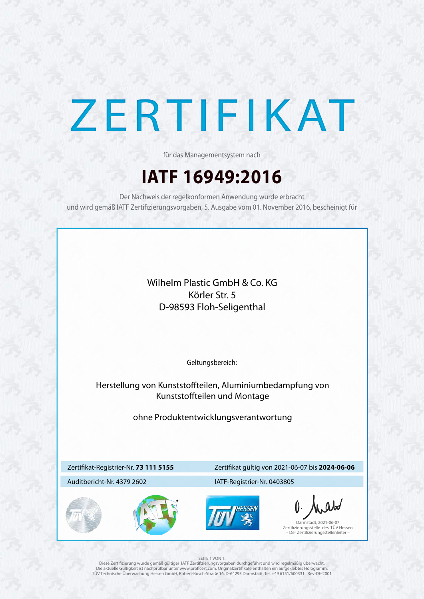



## ZERTIFIKAT

## **IATF 16949:2016**

für das Managementsystem nach

Der Nachweis der regelkonformen Anwendung wurde erbracht und wird gemäß IATF Zertifizierungsvorgaben, 5. Ausgabe vom 01. November 2016, bescheinigt für

### Zertifikat-Registrier-Nr. **73 111 5155**

### Auditbericht-Nr. 4379 2602

### Zertifikat gültig von 2021-06-07 bis **2024-06-06**

Geltungsbereich:

Diese Zertifizierung wurde gemäß gültiger IATF Zertifizierungsvorgaben durchgeführt und wird regelmäßig überwacht. Die aktuelle Gültigkeit ist nachprüfbar unter www.proficert.com. Originalzertifikate enthalten ein aufgeklebtes Hologramm. TÜV Technische Überwachung Hessen GmbH, Robert-Bosch-Straße 16, D-64293 Darmstadt, Tel. +49 6151/600331 Rev-DE-2001

Darmstadt, 2021-06-07 Zertifizierungsstelle des TÜV Hessen – Der Zertifizierungsstellenleiter –

### SEITE 1 VON 1.

### IATF-Registrier-Nr. 0403805

Wilhelm Plastic GmbH & Co. KG Körler Str. 5 D-98593 Floh-Seligenthal

Herstellung von Kunststoffteilen, Aluminiumbedampfung von Kunststoffteilen und Montage

ohne Produktentwicklungsverantwortung